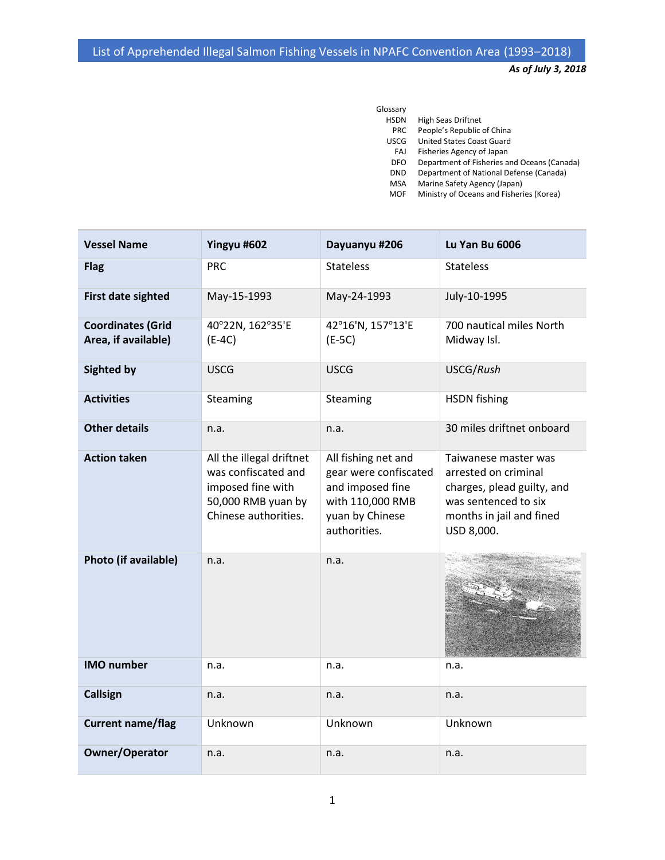*As of July 3, 2018*

| Glossary    |                                             |
|-------------|---------------------------------------------|
| <b>HSDN</b> | <b>High Seas Driftnet</b>                   |
| <b>PRC</b>  | People's Republic of China                  |
| <b>USCG</b> | United States Coast Guard                   |
| FAJ         | Fisheries Agency of Japan                   |
| DFO         | Department of Fisheries and Oceans (Canada) |
| <b>DND</b>  | Department of National Defense (Canada)     |
| <b>MSA</b>  | Marine Safety Agency (Japan)                |
| MOF         | Ministry of Oceans and Fisheries (Korea)    |

| <b>Vessel Name</b>                              | Yingyu #602                                                                                                        | Dayuanyu #206                                                                                                           | Lu Yan Bu 6006                                                                                                                               |
|-------------------------------------------------|--------------------------------------------------------------------------------------------------------------------|-------------------------------------------------------------------------------------------------------------------------|----------------------------------------------------------------------------------------------------------------------------------------------|
| <b>Flag</b>                                     | <b>PRC</b>                                                                                                         | <b>Stateless</b>                                                                                                        | <b>Stateless</b>                                                                                                                             |
| <b>First date sighted</b>                       | May-15-1993                                                                                                        | May-24-1993                                                                                                             | July-10-1995                                                                                                                                 |
| <b>Coordinates (Grid</b><br>Area, if available) | 40°22N, 162°35'E<br>$(E-4C)$                                                                                       | 42°16'N, 157°13'E<br>$(E-5C)$                                                                                           | 700 nautical miles North<br>Midway Isl.                                                                                                      |
| <b>Sighted by</b>                               | <b>USCG</b>                                                                                                        | <b>USCG</b>                                                                                                             | USCG/Rush                                                                                                                                    |
| <b>Activities</b>                               | Steaming                                                                                                           | Steaming                                                                                                                | <b>HSDN</b> fishing                                                                                                                          |
| <b>Other details</b>                            | n.a.                                                                                                               | n.a.                                                                                                                    | 30 miles driftnet onboard                                                                                                                    |
| <b>Action taken</b>                             | All the illegal driftnet<br>was confiscated and<br>imposed fine with<br>50,000 RMB yuan by<br>Chinese authorities. | All fishing net and<br>gear were confiscated<br>and imposed fine<br>with 110,000 RMB<br>yuan by Chinese<br>authorities. | Taiwanese master was<br>arrested on criminal<br>charges, plead guilty, and<br>was sentenced to six<br>months in jail and fined<br>USD 8,000. |
| Photo (if available)                            | n.a.                                                                                                               | n.a.                                                                                                                    |                                                                                                                                              |
| <b>IMO</b> number                               | n.a.                                                                                                               | n.a.                                                                                                                    | n.a.                                                                                                                                         |
| <b>Callsign</b>                                 | n.a.                                                                                                               | n.a.                                                                                                                    | n.a.                                                                                                                                         |
| <b>Current name/flag</b>                        | Unknown                                                                                                            | Unknown                                                                                                                 | Unknown                                                                                                                                      |
| <b>Owner/Operator</b>                           | n.a.                                                                                                               | n.a.                                                                                                                    | n.a.                                                                                                                                         |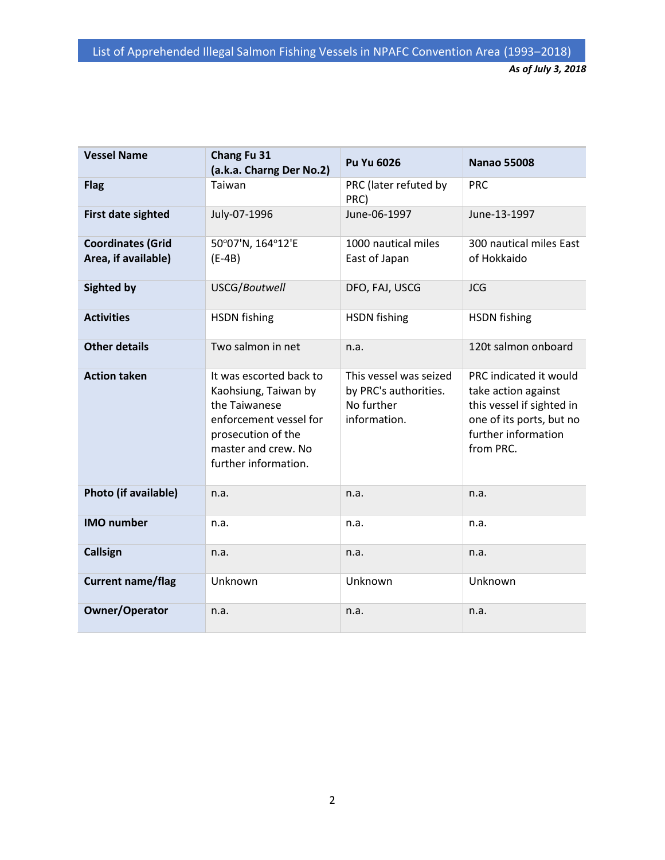| <b>Vessel Name</b>                              | Chang Fu 31<br>(a.k.a. Charng Der No.2)                                                                                                                         | Pu Yu 6026                                                                    | <b>Nanao 55008</b>                                                                                                                         |
|-------------------------------------------------|-----------------------------------------------------------------------------------------------------------------------------------------------------------------|-------------------------------------------------------------------------------|--------------------------------------------------------------------------------------------------------------------------------------------|
| <b>Flag</b>                                     | Taiwan                                                                                                                                                          | PRC (later refuted by<br>PRC)                                                 | <b>PRC</b>                                                                                                                                 |
| <b>First date sighted</b>                       | July-07-1996                                                                                                                                                    | June-06-1997                                                                  | June-13-1997                                                                                                                               |
| <b>Coordinates (Grid</b><br>Area, if available) | 50°07'N, 164°12'E<br>$(E-4B)$                                                                                                                                   | 1000 nautical miles<br>East of Japan                                          | 300 nautical miles East<br>of Hokkaido                                                                                                     |
| <b>Sighted by</b>                               | USCG/Boutwell                                                                                                                                                   | DFO, FAJ, USCG                                                                | <b>JCG</b>                                                                                                                                 |
| <b>Activities</b>                               | <b>HSDN</b> fishing                                                                                                                                             | <b>HSDN</b> fishing                                                           | <b>HSDN</b> fishing                                                                                                                        |
| <b>Other details</b>                            | Two salmon in net                                                                                                                                               | n.a.                                                                          | 120t salmon onboard                                                                                                                        |
| <b>Action taken</b>                             | It was escorted back to<br>Kaohsiung, Taiwan by<br>the Taiwanese<br>enforcement vessel for<br>prosecution of the<br>master and crew. No<br>further information. | This vessel was seized<br>by PRC's authorities.<br>No further<br>information. | PRC indicated it would<br>take action against<br>this vessel if sighted in<br>one of its ports, but no<br>further information<br>from PRC. |
| Photo (if available)                            | n.a.                                                                                                                                                            | n.a.                                                                          | n.a.                                                                                                                                       |
| <b>IMO</b> number                               | n.a.                                                                                                                                                            | n.a.                                                                          | n.a.                                                                                                                                       |
| <b>Callsign</b>                                 | n.a.                                                                                                                                                            | n.a.                                                                          | n.a.                                                                                                                                       |
| <b>Current name/flag</b>                        | Unknown                                                                                                                                                         | Unknown                                                                       | Unknown                                                                                                                                    |
| <b>Owner/Operator</b>                           | n.a.                                                                                                                                                            | n.a.                                                                          | n.a.                                                                                                                                       |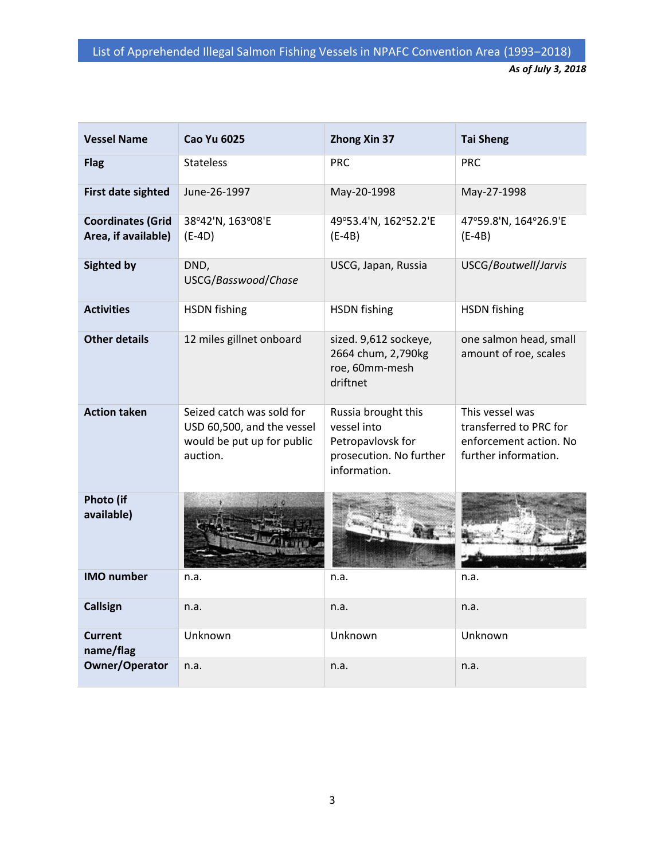| <b>Vessel Name</b>                              | <b>Cao Yu 6025</b>                                                                                | <b>Zhong Xin 37</b>                                                                                | <b>Tai Sheng</b>                                                                            |
|-------------------------------------------------|---------------------------------------------------------------------------------------------------|----------------------------------------------------------------------------------------------------|---------------------------------------------------------------------------------------------|
| <b>Flag</b>                                     | <b>Stateless</b>                                                                                  | <b>PRC</b>                                                                                         | <b>PRC</b>                                                                                  |
| <b>First date sighted</b>                       | June-26-1997                                                                                      | May-20-1998                                                                                        | May-27-1998                                                                                 |
| <b>Coordinates (Grid</b><br>Area, if available) | 38°42'N, 163°08'E<br>$(E-4D)$                                                                     | 49°53.4'N, 162°52.2'E<br>$(E-4B)$                                                                  | 47°59.8'N, 164°26.9'E<br>$(E-4B)$                                                           |
| <b>Sighted by</b>                               | DND,<br>USCG/Basswood/Chase                                                                       | USCG, Japan, Russia                                                                                | USCG/Boutwell/Jarvis                                                                        |
| <b>Activities</b>                               | <b>HSDN</b> fishing                                                                               | <b>HSDN</b> fishing                                                                                | <b>HSDN</b> fishing                                                                         |
| <b>Other details</b>                            | 12 miles gillnet onboard                                                                          | sized. 9,612 sockeye,<br>2664 chum, 2,790kg<br>roe, 60mm-mesh<br>driftnet                          | one salmon head, small<br>amount of roe, scales                                             |
| <b>Action taken</b>                             | Seized catch was sold for<br>USD 60,500, and the vessel<br>would be put up for public<br>auction. | Russia brought this<br>vessel into<br>Petropavlovsk for<br>prosecution. No further<br>information. | This vessel was<br>transferred to PRC for<br>enforcement action. No<br>further information. |
| Photo (if<br>available)                         |                                                                                                   |                                                                                                    |                                                                                             |
| <b>IMO</b> number                               | n.a.                                                                                              | n.a.                                                                                               | n.a.                                                                                        |
| <b>Callsign</b>                                 | n.a.                                                                                              | n.a.                                                                                               | n.a.                                                                                        |
| <b>Current</b><br>name/flag                     | Unknown                                                                                           | Unknown                                                                                            | Unknown                                                                                     |
| <b>Owner/Operator</b>                           | n.a.                                                                                              | n.a.                                                                                               | n.a.                                                                                        |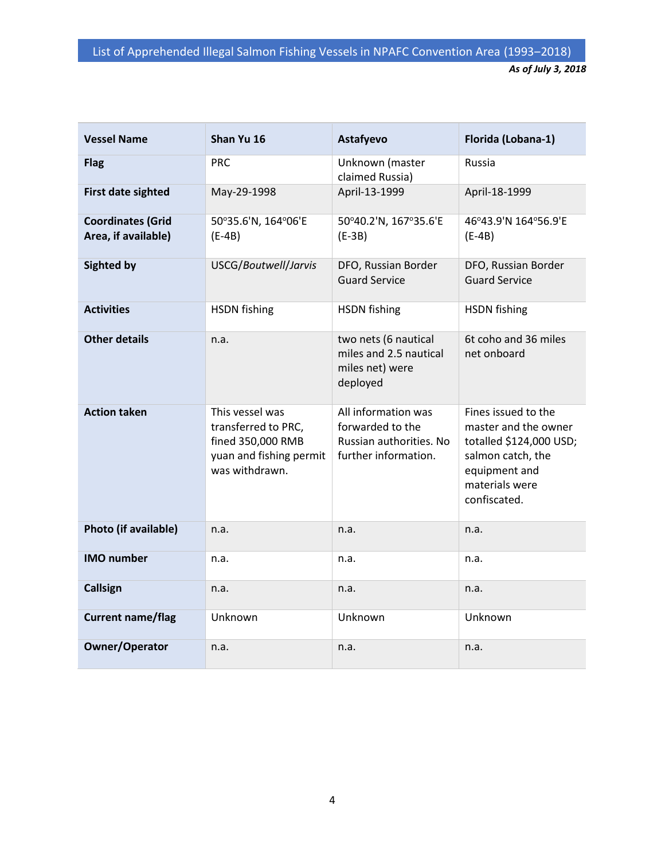| <b>Vessel Name</b>                              | Shan Yu 16                                                                                               | Astafyevo                                                                                  | Florida (Lobana-1)                                                                                                                             |
|-------------------------------------------------|----------------------------------------------------------------------------------------------------------|--------------------------------------------------------------------------------------------|------------------------------------------------------------------------------------------------------------------------------------------------|
| <b>Flag</b>                                     | <b>PRC</b>                                                                                               | Unknown (master<br>claimed Russia)                                                         | Russia                                                                                                                                         |
| <b>First date sighted</b>                       | May-29-1998                                                                                              | April-13-1999                                                                              | April-18-1999                                                                                                                                  |
| <b>Coordinates (Grid</b><br>Area, if available) | 50°35.6'N, 164°06'E<br>$(E-4B)$                                                                          | 50°40.2'N, 167°35.6'E<br>$(E-3B)$                                                          | 46°43.9'N 164°56.9'E<br>$(E-4B)$                                                                                                               |
| <b>Sighted by</b>                               | USCG/Boutwell/Jarvis                                                                                     | DFO, Russian Border<br><b>Guard Service</b>                                                | DFO, Russian Border<br><b>Guard Service</b>                                                                                                    |
| <b>Activities</b>                               | <b>HSDN</b> fishing                                                                                      | <b>HSDN</b> fishing                                                                        | <b>HSDN</b> fishing                                                                                                                            |
| <b>Other details</b>                            | n.a.                                                                                                     | two nets (6 nautical<br>miles and 2.5 nautical<br>miles net) were<br>deployed              | 6t coho and 36 miles<br>net onboard                                                                                                            |
| <b>Action taken</b>                             | This vessel was<br>transferred to PRC,<br>fined 350,000 RMB<br>yuan and fishing permit<br>was withdrawn. | All information was<br>forwarded to the<br>Russian authorities. No<br>further information. | Fines issued to the<br>master and the owner<br>totalled \$124,000 USD;<br>salmon catch, the<br>equipment and<br>materials were<br>confiscated. |
| Photo (if available)                            | n.a.                                                                                                     | n.a.                                                                                       | n.a.                                                                                                                                           |
| <b>IMO</b> number                               | n.a.                                                                                                     | n.a.                                                                                       | n.a.                                                                                                                                           |
| <b>Callsign</b>                                 | n.a.                                                                                                     | n.a.                                                                                       | n.a.                                                                                                                                           |
| <b>Current name/flag</b>                        | Unknown                                                                                                  | Unknown                                                                                    | Unknown                                                                                                                                        |
| <b>Owner/Operator</b>                           | n.a.                                                                                                     | n.a.                                                                                       | n.a.                                                                                                                                           |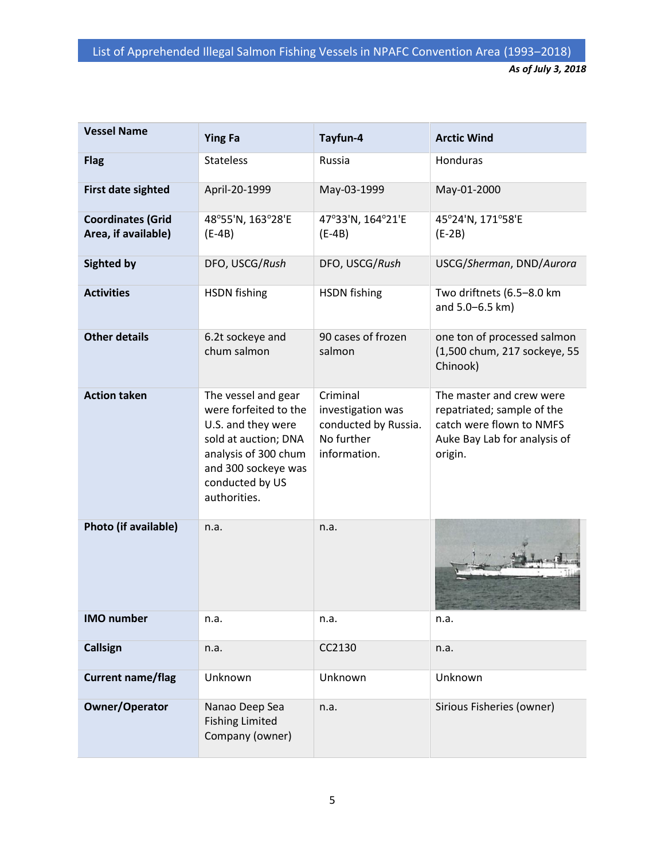| <b>Vessel Name</b>                              | <b>Ying Fa</b>                                                                                                                                                               | Tayfun-4                                                                            | <b>Arctic Wind</b>                                                                                                            |
|-------------------------------------------------|------------------------------------------------------------------------------------------------------------------------------------------------------------------------------|-------------------------------------------------------------------------------------|-------------------------------------------------------------------------------------------------------------------------------|
| <b>Flag</b>                                     | <b>Stateless</b>                                                                                                                                                             | Russia                                                                              | Honduras                                                                                                                      |
| First date sighted                              | April-20-1999                                                                                                                                                                | May-03-1999                                                                         | May-01-2000                                                                                                                   |
| <b>Coordinates (Grid</b><br>Area, if available) | 48°55'N, 163°28'E<br>$(E-4B)$                                                                                                                                                | 47°33'N, 164°21'E<br>$(E-4B)$                                                       | 45°24'N, 171°58'E<br>$(E-2B)$                                                                                                 |
| <b>Sighted by</b>                               | DFO, USCG/Rush                                                                                                                                                               | DFO, USCG/Rush                                                                      | USCG/Sherman, DND/Aurora                                                                                                      |
| <b>Activities</b>                               | <b>HSDN</b> fishing                                                                                                                                                          | <b>HSDN</b> fishing                                                                 | Two driftnets (6.5-8.0 km<br>and 5.0-6.5 km)                                                                                  |
| <b>Other details</b>                            | 6.2t sockeye and<br>chum salmon                                                                                                                                              | 90 cases of frozen<br>salmon                                                        | one ton of processed salmon<br>(1,500 chum, 217 sockeye, 55<br>Chinook)                                                       |
| <b>Action taken</b>                             | The vessel and gear<br>were forfeited to the<br>U.S. and they were<br>sold at auction; DNA<br>analysis of 300 chum<br>and 300 sockeye was<br>conducted by US<br>authorities. | Criminal<br>investigation was<br>conducted by Russia.<br>No further<br>information. | The master and crew were<br>repatriated; sample of the<br>catch were flown to NMFS<br>Auke Bay Lab for analysis of<br>origin. |
| Photo (if available)                            | n.a.                                                                                                                                                                         | n.a.                                                                                |                                                                                                                               |
| <b>IMO</b> number                               | n.a.                                                                                                                                                                         | n.a.                                                                                | n.a.                                                                                                                          |
| <b>Callsign</b>                                 | n.a.                                                                                                                                                                         | CC2130                                                                              | n.a.                                                                                                                          |
| <b>Current name/flag</b>                        | Unknown                                                                                                                                                                      | Unknown                                                                             | Unknown                                                                                                                       |
| <b>Owner/Operator</b>                           | Nanao Deep Sea<br><b>Fishing Limited</b><br>Company (owner)                                                                                                                  | n.a.                                                                                | Sirious Fisheries (owner)                                                                                                     |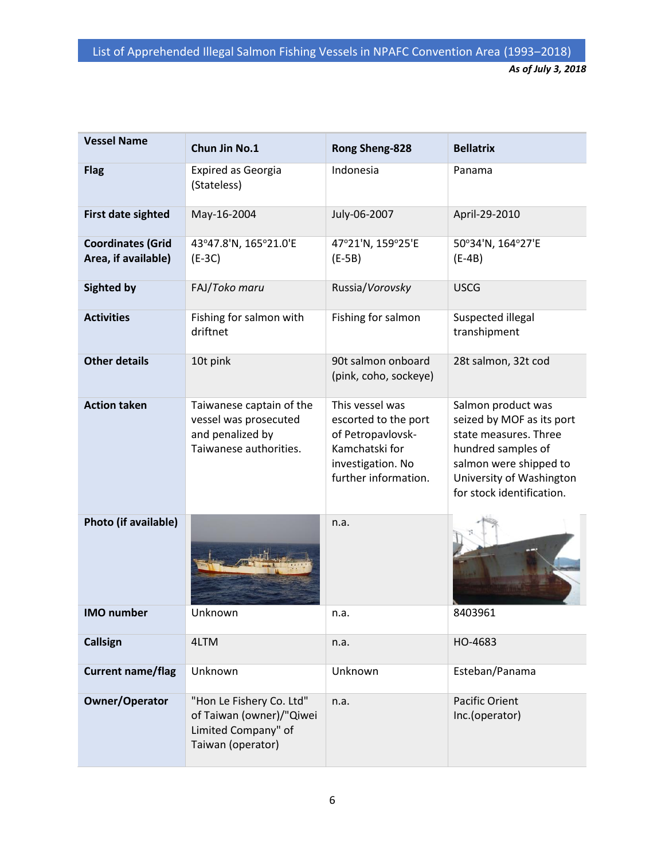| <b>Vessel Name</b>                              | Chun Jin No.1                                                                                    | Rong Sheng-828                                                                                                              | <b>Bellatrix</b>                                                                                                                                                                  |
|-------------------------------------------------|--------------------------------------------------------------------------------------------------|-----------------------------------------------------------------------------------------------------------------------------|-----------------------------------------------------------------------------------------------------------------------------------------------------------------------------------|
| <b>Flag</b>                                     | <b>Expired as Georgia</b><br>(Stateless)                                                         | Indonesia                                                                                                                   | Panama                                                                                                                                                                            |
| First date sighted                              | May-16-2004                                                                                      | July-06-2007                                                                                                                | April-29-2010                                                                                                                                                                     |
| <b>Coordinates (Grid</b><br>Area, if available) | 43°47.8'N, 165°21.0'E<br>$(E-3C)$                                                                | 47°21'N, 159°25'E<br>$(E-5B)$                                                                                               | 50°34'N, 164°27'E<br>$(E-4B)$                                                                                                                                                     |
| <b>Sighted by</b>                               | FAJ/Toko maru                                                                                    | Russia/Vorovsky                                                                                                             | <b>USCG</b>                                                                                                                                                                       |
| <b>Activities</b>                               | Fishing for salmon with<br>driftnet                                                              | Fishing for salmon                                                                                                          | Suspected illegal<br>transhipment                                                                                                                                                 |
| <b>Other details</b>                            | 10t pink                                                                                         | 90t salmon onboard<br>(pink, coho, sockeye)                                                                                 | 28t salmon, 32t cod                                                                                                                                                               |
| <b>Action taken</b>                             | Taiwanese captain of the<br>vessel was prosecuted<br>and penalized by<br>Taiwanese authorities.  | This vessel was<br>escorted to the port<br>of Petropavlovsk-<br>Kamchatski for<br>investigation. No<br>further information. | Salmon product was<br>seized by MOF as its port<br>state measures. Three<br>hundred samples of<br>salmon were shipped to<br>University of Washington<br>for stock identification. |
| Photo (if available)                            |                                                                                                  | n.a.                                                                                                                        |                                                                                                                                                                                   |
| <b>IMO</b> number                               | Unknown                                                                                          | n.a.                                                                                                                        | 8403961                                                                                                                                                                           |
| Callsign                                        | 4LTM                                                                                             | n.a.                                                                                                                        | HO-4683                                                                                                                                                                           |
| <b>Current name/flag</b>                        | Unknown                                                                                          | Unknown                                                                                                                     | Esteban/Panama                                                                                                                                                                    |
| <b>Owner/Operator</b>                           | "Hon Le Fishery Co. Ltd"<br>of Taiwan (owner)/"Qiwei<br>Limited Company" of<br>Taiwan (operator) | n.a.                                                                                                                        | <b>Pacific Orient</b><br>Inc.(operator)                                                                                                                                           |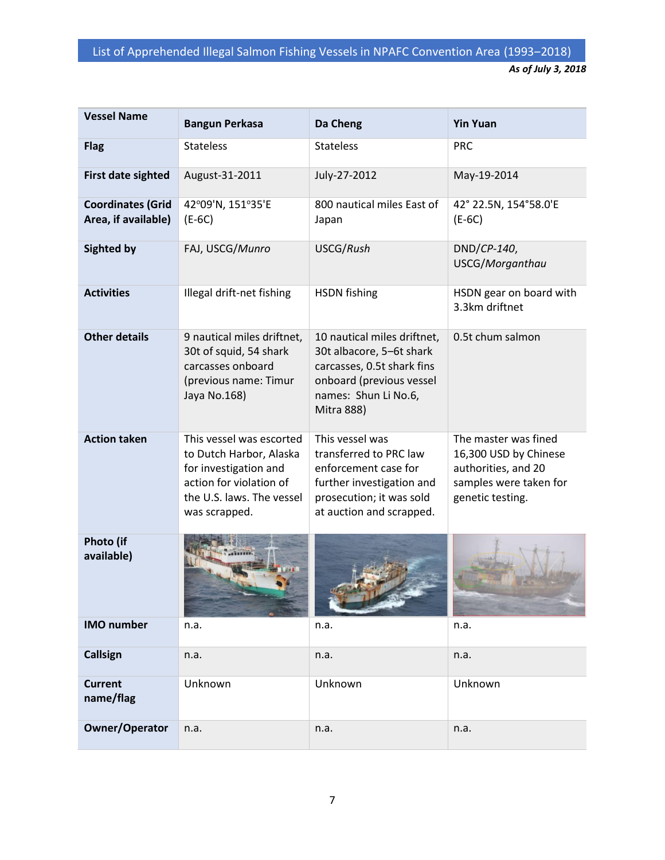| <b>Vessel Name</b>                              | <b>Bangun Perkasa</b>                                                                                                                                 | Da Cheng                                                                                                                                                       | <b>Yin Yuan</b>                                                                                                    |
|-------------------------------------------------|-------------------------------------------------------------------------------------------------------------------------------------------------------|----------------------------------------------------------------------------------------------------------------------------------------------------------------|--------------------------------------------------------------------------------------------------------------------|
| <b>Flag</b>                                     | <b>Stateless</b>                                                                                                                                      | <b>Stateless</b>                                                                                                                                               | <b>PRC</b>                                                                                                         |
| First date sighted                              | August-31-2011                                                                                                                                        | July-27-2012                                                                                                                                                   | May-19-2014                                                                                                        |
| <b>Coordinates (Grid</b><br>Area, if available) | 42°09'N, 151°35'E<br>$(E-6C)$                                                                                                                         | 800 nautical miles East of<br>Japan                                                                                                                            | 42° 22.5N, 154°58.0'E<br>$(E-6C)$                                                                                  |
| <b>Sighted by</b>                               | FAJ, USCG/Munro                                                                                                                                       | USCG/Rush                                                                                                                                                      | DND/CP-140,<br>USCG/Morganthau                                                                                     |
| <b>Activities</b>                               | Illegal drift-net fishing                                                                                                                             | <b>HSDN</b> fishing                                                                                                                                            | HSDN gear on board with<br>3.3km driftnet                                                                          |
| <b>Other details</b>                            | 9 nautical miles driftnet,<br>30t of squid, 54 shark<br>carcasses onboard<br>(previous name: Timur<br>Jaya No.168)                                    | 10 nautical miles driftnet,<br>30t albacore, 5-6t shark<br>carcasses, 0.5t shark fins<br>onboard (previous vessel<br>names: Shun Li No.6,<br><b>Mitra 888)</b> | 0.5t chum salmon                                                                                                   |
| <b>Action taken</b>                             | This vessel was escorted<br>to Dutch Harbor, Alaska<br>for investigation and<br>action for violation of<br>the U.S. laws. The vessel<br>was scrapped. | This vessel was<br>transferred to PRC law<br>enforcement case for<br>further investigation and<br>prosecution; it was sold<br>at auction and scrapped.         | The master was fined<br>16,300 USD by Chinese<br>authorities, and 20<br>samples were taken for<br>genetic testing. |
| Photo (if<br>available)                         |                                                                                                                                                       |                                                                                                                                                                |                                                                                                                    |
| <b>IMO</b> number                               | n.a.                                                                                                                                                  | n.a.                                                                                                                                                           | n.a.                                                                                                               |
| <b>Callsign</b>                                 | n.a.                                                                                                                                                  | n.a.                                                                                                                                                           | n.a.                                                                                                               |
| <b>Current</b><br>name/flag                     | Unknown                                                                                                                                               | Unknown                                                                                                                                                        | Unknown                                                                                                            |
| <b>Owner/Operator</b>                           | n.a.                                                                                                                                                  | n.a.                                                                                                                                                           | n.a.                                                                                                               |